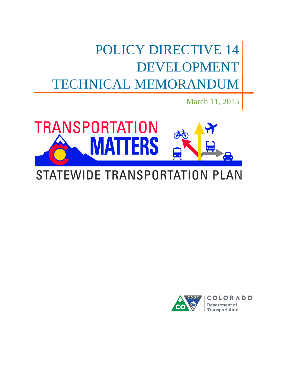POLICY DIRECTIVE 14 DEVELOPMENT TECHNICAL MEMORANDUM

March 11, 2015



# STATEWIDE TRANSPORTATION PLAN

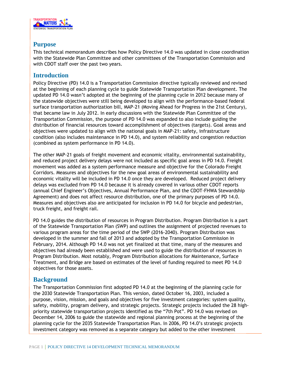

## **Purpose**

This technical memorandum describes how Policy Directive 14.0 was updated in close coordination with the Statewide Plan Committee and other committees of the Transportation Commission and with CDOT staff over the past two years.

### **Introduction**

Policy Directive (PD) 14.0 is a Transportation Commission directive typically reviewed and revised at the beginning of each planning cycle to guide Statewide Transportation Plan development. The updated PD 14.0 wasn't adopted at the beginning of the planning cycle in 2012 because many of the statewide objectives were still being developed to align with the performance-based federal surface transportation authorization bill, MAP-21 (Moving Ahead for Progress in the 21st Century), that became law in July 2012. In early discussions with the Statewide Plan Committee of the Transportation Commission, the purpose of PD 14.0 was expanded to also include guiding the distribution of financial resources toward accomplishment of objectives (targets). Goal areas and objectives were updated to align with the national goals in MAP-21: safety, infrastructure condition (also includes maintenance in PD 14.0), and system reliability and congestion reduction (combined as system performance in PD 14.0).

The other MAP-21 goals of freight movement and economic vitality, environmental sustainability, and reduced project delivery delays were not included as specific goal areas in PD 14.0. Freight movement was added as a system performance measure and objective for the Colorado Freight Corridors. Measures and objectives for the new goal areas of environmental sustainability and economic vitality will be included in PD 14.0 once they are developed. Reduced project delivery delays was excluded from PD 14.0 because it is already covered in various other CDOT reports (annual Chief Engineer's Objectives, Annual Performance Plan, and the CDOT-FHWA Stewardship Agreement) and does not affect resource distribution, one of the primary purposes of PD 14.0. Measures and objectives also are anticipated for inclusion in PD 14.0 for bicycle and pedestrian, truck freight, and freight rail.

PD 14.0 guides the distribution of resources in Program Distribution. Program Distribution is a part of the Statewide Transportation Plan (SWP) and outlines the assignment of projected revenues to various program areas for the time period of the SWP (2016-2040). Program Distribution was developed in the summer and fall of 2013 and adopted by the Transportation Commission in February, 2014. Although PD 14.0 was not yet finalized at that time, many of the measures and objectives had already been established and were used to guide the distribution of resources in Program Distribution. Most notably, Program Distribution allocations for Maintenance, Surface Treatment, and Bridge are based on estimates of the level of funding required to meet PD 14.0 objectives for those assets.

## **Background**

The Transportation Commission first adopted PD 14.0 at the beginning of the planning cycle for the 2030 Statewide Transportation Plan. This version, dated October 16, 2003, included a purpose, vision, mission, and goals and objectives for five investment categories: system quality, safety, mobility, program delivery, and strategic projects. Strategic projects included the 28 highpriority statewide transportation projects identified as the "7th Pot". PD 14.0 was revised on December 14, 2006 to guide the statewide and regional planning process at the beginning of the planning cycle for the 2035 Statewide Transportation Plan. In 2006, PD 14.0's strategic projects investment category was removed as a separate category but added to the other investment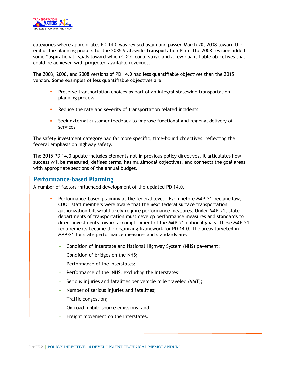

categories where appropriate. PD 14.0 was revised again and passed March 20, 2008 toward the end of the planning process for the 2035 Statewide Transportation Plan. The 2008 revision added some "aspirational" goals toward which CDOT could strive and a few quantifiable objectives that could be achieved with projected available revenues.

The 2003, 2006, and 2008 versions of PD 14.0 had less quantifiable objectives than the 2015 version. Some examples of less quantifiable objectives are:

- **Preserve transportation choices as part of an integral statewide transportation** planning process
- Reduce the rate and severity of transportation related incidents
- Seek external customer feedback to improve functional and regional delivery of services

The safety investment category had far more specific, time-bound objectives, reflecting the federal emphasis on highway safety.

The 2015 PD 14.0 update includes elements not in previous policy directives. It articulates how success will be measured, defines terms, has multimodal objectives, and connects the goal areas with appropriate sections of the annual budget.

## **Performance-based Planning**

A number of factors influenced development of the updated PD 14.0.

- Performance-based planning at the federal level: Even before MAP-21 became law, CDOT staff members were aware that the next federal surface transportation authorization bill would likely require performance measures. Under MAP-21, state departments of transportation must develop performance measures and standards to direct investments toward accomplishment of the MAP-21 national goals. These MAP-21 requirements became the organizing framework for PD 14.0. The areas targeted in MAP-21 for state performance measures and standards are:
	- Condition of Interstate and National Highway System (NHS) pavement;
	- Condition of bridges on the NHS;
	- Performance of the Interstates;
	- Performance of the NHS, excluding the Interstates;
	- Serious injuries and fatalities per vehicle mile traveled (VMT);
	- Number of serious injuries and fatalities;
	- Traffic congestion;
	- On-road mobile source emissions; and
	- Freight movement on the Interstates.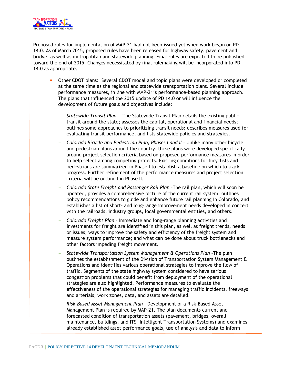

Proposed rules for implementation of MAP-21 had not been issued yet when work began on PD 14.0. As of March 2015, proposed rules have been released for highway safety, pavement and bridge, as well as metropolitan and statewide planning. Final rules are expected to be published toward the end of 2015. Changes necessitated by final rulemaking will be incorporated into PD 14.0 as appropriate.

- Other CDOT plans: Several CDOT modal and topic plans were developed or completed at the same time as the regional and statewide transportation plans. Several include performance measures, in line with MAP-21's performance-based planning approach. The plans that influenced the 2015 update of PD 14.0 or will influence the development of future goals and objectives include:
	- *Statewide Transit Plan*  The Statewide Transit Plan details the existing public transit around the state; assesses the capital, operational and financial needs; outlines some approaches to prioritizing transit needs; describes measures used for evaluating transit performance, and lists statewide policies and strategies.
	- *Colorado Bicycle and Pedestrian Plan, Phases I and II* Unlike many other bicycle and pedestrian plans around the country, these plans were developed specifically around project selection criteria based on proposed performance measures in order to help select among competing projects. Existing conditions for bicyclists and pedestrians are summarized in Phase I to establish a baseline on which to track progress. Further refinement of the performance measures and project selection criteria will be outlined in Phase II.
	- *Colorado State Freight and Passenger Rail Plan* –The rail plan, which will soon be updated, provides a comprehensive picture of the current rail system, outlines policy recommendations to guide and enhance future rail planning in Colorado, and establishes a list of short- and long-range improvement needs developed in concert with the railroads, industry groups, local governmental entities, and others.
	- *Colorado Freight Plan*  Immediate and long-range planning activities and investments for freight are identified in this plan, as well as freight trends, needs or issues; ways to improve the safety and efficiency of the freight system and measure system performance; and what can be done about truck bottlenecks and other factors impeding freight movement.
	- *Statewide Transportation System Management & Operations Plan –*The plan outlines the establishment of the Division of Transportation System Management & Operations and identifies various operational strategies to improve the flow of traffic. Segments of the state highway system considered to have serious congestion problems that could benefit from deployment of the operational strategies are also highlighted. Performance measures to evaluate the effectiveness of the operational strategies for managing traffic incidents, freeways and arterials, work zones, data, and assets are detailed.
	- *Risk-Based Asset Management Plan* Development of a Risk-Based Asset Management Plan is required by MAP-21. The plan documents current and forecasted condition of transportation assets (pavement, bridges, overall maintenance, buildings, and ITS -Intelligent Transportation Systems) and examines already established asset performance goals, use of analysis and data to inform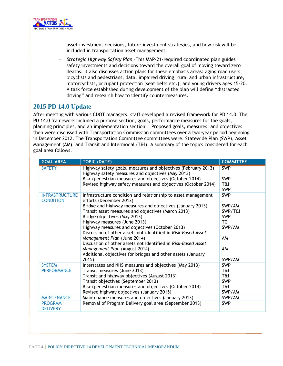

asset investment decisions, future investment strategies, and how risk will be included in transportation asset management.

- *Strategic Highway Safety Plan* –This MAP-21-required coordinated plan guides safety investments and decisions toward the overall goal of moving toward zero deaths. It also discusses action plans for these emphasis areas: aging road users, bicyclists and pedestrians, data, impaired driving, rural and urban infrastructure, motorcyclists, occupant protection (seat belts etc.), and young drivers ages 15-20. A task force established during development of the plan will define "distracted driving" and research how to identify countermeasures.

## **2015 PD 14.0 Update**

After meeting with various CDOT managers, staff developed a revised framework for PD 14.0. The PD 14.0 framework included a purpose section, goals, performance measures for the goals, planning principles, and an implementation section. Proposed goals, measures, and objectives then were discussed with Transportation Commission committees over a two-year period beginning in December 2012. The Transportation Committee committees were: Statewide Plan (SWP), Asset Management (AM), and Transit and Intermodal (T&I). A summary of the topics considered for each goal area follows.

| <b>GOAL AREA</b>                          | <b>TOPIC (DATE)</b>                                                                                                | <b>COMMITTEE</b>  |
|-------------------------------------------|--------------------------------------------------------------------------------------------------------------------|-------------------|
| <b>SAFETY</b>                             | Highway safety goals, measures and objectives (February 2013)<br>Highway safety measures and objectives (May 2013) | <b>SWP</b>        |
|                                           | Bike/pedestrian measures and objectives (October 2014)                                                             | <b>SWP</b>        |
|                                           | Revised highway safety measures and objectives (October 2014)                                                      | T&I<br><b>SWP</b> |
| <b>INFRASTRUCTURE</b><br><b>CONDITION</b> | Infrastructure condition and relationship to asset management<br>efforts (December 2012)                           | <b>SWP</b>        |
|                                           | Bridge and highway measures and objectives (January 2013)                                                          | SWP/AM            |
|                                           | Transit asset measures and objectives (March 2013)                                                                 | SWP/T&I           |
|                                           | Bridge objectives (May 2013)                                                                                       | <b>SWP</b>        |
|                                           | Highway measures (June 2013)                                                                                       | TC                |
|                                           | Highway measures and objectives (October 2013)                                                                     | SWP/AM            |
|                                           | Discussion of other assets not identified in Risk-Based Asset                                                      |                   |
|                                           | Management Plan (June 2014)                                                                                        | AM                |
|                                           | Discussion of other assets not identified in Risk-Based Asset                                                      |                   |
|                                           | Management Plan (August 2014)                                                                                      | AM                |
|                                           | Additional objectives for bridges and other assets (January<br>2015)                                               | SWP/AM            |
| <b>SYSTEM</b>                             | Interstates and NHS measures and objectives (May 2013)                                                             | <b>SWP</b>        |
| <b>PERFORMANCE</b>                        | Transit measures (June 2013)                                                                                       | T&I               |
|                                           | Transit and highway objectives (August 2013)                                                                       | T&I               |
|                                           | Transit objectives (September 2013)                                                                                | <b>SWP</b>        |
|                                           | Bike/pedestrian measures and objectives (October 2014)                                                             | T&I               |
|                                           | Revised highway objectives (January 2015)                                                                          | SWP/AM            |
| <b>MAINTENANCE</b>                        | Maintenance measures and objectives (January 2013)                                                                 | SWP/AM            |
| <b>PROGRAM</b><br><b>DELIVERY</b>         | Removal of Program Delivery goal area (September 2013)                                                             | <b>SWP</b>        |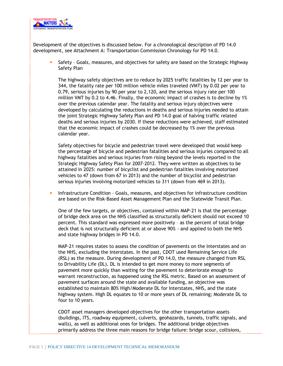

Development of the objectives is discussed below. For a chronological description of PD 14.0 development, see Attachment A: Transportation Commission Chronology for PD 14.0.

**Safety - Goals, measures, and objectives for safety are based on the Strategic Highway** Safety Plan

The highway safety objectives are to reduce by 2025 traffic fatalities by 12 per year to 344, the fatality rate per 100 million vehicle miles traveled (VMT) by 0.02 per year to 0.79, serious injuries by 90 per year to 2,120, and the serious injury rate per 100 million VMT by 0.2 to 4.46. Finally, the economic impact of crashes is to decline by 1% over the previous calendar year. The fatality and serious injury objectives were developed by calculating the reductions in deaths and serious injuries needed to attain the joint Strategic Highway Safety Plan and PD 14.0 goal of halving traffic related deaths and serious injuries by 2030. If these reductions were achieved, staff estimated that the economic impact of crashes could be decreased by 1% over the previous calendar year.

Safety objectives for bicycle and pedestrian travel were developed that would keep the percentage of bicycle and pedestrian fatalities and serious injuries compared to all highway fatalities and serious injuries from rising beyond the levels reported in the Strategic Highway Safety Plan for 2007-2012. They were written as objectives to be attained in 2025: number of bicyclist and pedestrian fatalities involving motorized vehicles to 47 (down from 67 in 2013) and the number of bicyclist and pedestrian serious injuries involving motorized vehicles to 311 (down from 469 in 2013).

**Infrastructure Condition - Goals, measures, and objectives for infrastructure condition** are based on the Risk-Based Asset Management Plan and the Statewide Transit Plan.

One of the few targets, or objectives, contained within MAP-21 is that the percentage of bridge deck area on the NHS classified as structurally deficient should not exceed 10 percent. This standard was expressed more positively – as the percent of total bridge deck that is not structurally deficient at or above 90% - and applied to both the NHS and state highway bridges in PD 14.0.

MAP-21 requires states to assess the condition of pavements on the Interstates and on the NHS, excluding the Interstates. In the past, CDOT used Remaining Service Life (RSL) as the measure. During development of PD 14.0, the measure changed from RSL to Drivability Life (DL). DL is intended to get more money to more segments of pavement more quickly than waiting for the pavement to deteriorate enough to warrant reconstruction, as happened using the RSL metric. Based on an assessment of pavement surfaces around the state and available funding, an objective was established to maintain 80% High/Moderate DL for Interstates, NHS, and the state highway system. High DL equates to 10 or more years of DL remaining; Moderate DL to four to 10 years.

CDOT asset managers developed objectives for the other transportation assets (buildings, ITS, roadway equipment, culverts, geohazards, tunnels, traffic signals, and walls), as well as additional ones for bridges. The additional bridge objectives primarily address the three main reasons for bridge failure: bridge scour, collisions,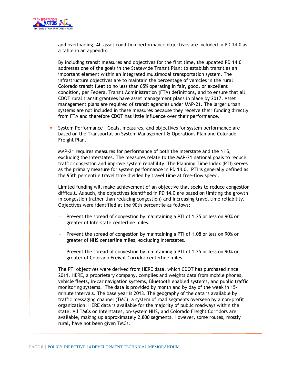

and overloading. All asset condition performance objectives are included in PD 14.0 as a table in an appendix.

By including transit measures and objectives for the first time, the updated PD 14.0 addresses one of the goals in the Statewide Transit Plan: to establish transit as an important element within an integrated multimodal transportation system. The infrastructure objectives are to maintain the percentage of vehicles in the rural Colorado transit fleet to no less than 65% operating in fair, good, or excellent condition, per Federal Transit Administration (FTA) definitions, and to ensure that all CDOT rural transit grantees have asset management plans in place by 2017. Asset management plans are required of transit agencies under MAP-21. The larger urban systems are not included in these measures because they receive their funding directly from FTA and therefore CDOT has little influence over their performance.

 System Performance – Goals, measures, and objectives for system performance are based on the Transportation System Management & Operations Plan and Colorado Freight Plan.

MAP-21 requires measures for performance of both the Interstate and the NHS, excluding the Interstates. The measures relate to the MAP-21 national goals to reduce traffic congestion and improve system reliability. The Planning Time Index (PTI) serves as the primary measure for system performance in PD 14.0. PTI is generally defined as the 95th percentile travel time divided by travel time at free-flow speed.

Limited funding will make achievement of an objective that seeks to reduce congestion difficult. As such, the objectives identified in PD 14.0 are based on limiting the growth in congestion (rather than reducing congestion) and increasing travel time reliability. Objectives were identified at the 90th percentile as follows:

- Prevent the spread of congestion by maintaining a PTI of 1.25 or less on 90% or greater of Interstate centerline miles.
- Prevent the spread of congestion by maintaining a PTI of 1.08 or less on 90% or greater of NHS centerline miles, excluding Interstates.
- Prevent the spread of congestion by maintaining a PTI of 1.25 or less on 90% or greater of Colorado Freight Corridor centerline miles.

The PTI objectives were derived from HERE data, which CDOT has purchased since 2011. HERE, a proprietary company, compiles and weights data from mobile phones, vehicle fleets, in-car navigation systems, Bluetooth enabled systems, and public traffic monitoring systems. The data is provided by month and by day of the week in 15 minute intervals. The base year is 2013. The geography of the data is available by traffic messaging channel (TMC), a system of road segments overseen by a non-profit organization. HERE data is available for the majority of public roadways within the state. All TMCs on Interstates, on-system NHS, and Colorado Freight Corridors are available, making up approximately 2,800 segments. However, some routes, mostly rural, have not been given TMCs.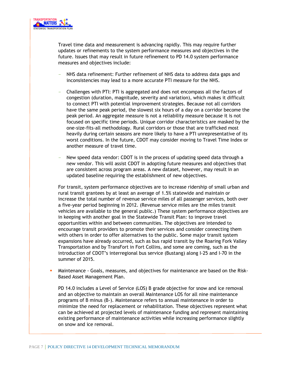

Travel time data and measurement is advancing rapidly. This may require further updates or refinements to the system performance measures and objectives in the future. Issues that may result in future refinement to PD 14.0 system performance measures and objectives include:

- NHS data refinement: Further refinement of NHS data to address data gaps and inconsistencies may lead to a more accurate PTI measure for the NHS.
- Challenges with PTI: PTI is aggregated and does not encompass all the factors of congestion (duration, magnitude, severity and variation), which makes it difficult to connect PTI with potential improvement strategies. Because not all corridors have the same peak period, the slowest six hours of a day on a corridor become the peak period. An aggregate measure is not a reliability measure because it is not focused on specific time periods. Unique corridor characteristics are masked by the one-size-fits-all methodology. Rural corridors or those that are trafficked most heavily during certain seasons are more likely to have a PTI unrepresentative of its worst conditions. In the future, CDOT may consider moving to Travel Time Index or another measure of travel time.
- New speed data vendor: CDOT is in the process of updating speed data through a new vendor. This will assist CDOT in adopting future measures and objectives that are consistent across program areas. A new dataset, however, may result in an updated baseline requiring the establishment of new objectives.

For transit, system performance objectives are to increase ridership of small urban and rural transit grantees by at least an average of 1.5% statewide and maintain or increase the total number of revenue service miles of all passenger services, both over a five-year period beginning in 2012. (Revenue service miles are the miles transit vehicles are available to the general public.) These system performance objectives are in keeping with another goal in the Statewide Transit Plan: to improve travel opportunities within and between communities. The objectives are intended to encourage transit providers to promote their services and consider connecting them with others in order to offer alternatives to the public. Some major transit system expansions have already occurred, such as bus rapid transit by the Roaring Fork Valley Transportation and by TransFort in Fort Collins, and some are coming, such as the introduction of CDOT's interregional bus service (Bustang) along I-25 and I-70 in the summer of 2015.

 Maintenance - Goals, measures, and objectives for maintenance are based on the Risk-Based Asset Management Plan.

PD 14.0 includes a Level of Service (LOS) B grade objective for snow and ice removal and an objective to maintain an overall Maintenance LOS for all nine maintenance programs of B minus (B-). Maintenance refers to annual maintenance in order to minimize the need for replacement or rehabilitation. These objectives represent what can be achieved at projected levels of maintenance funding and represent maintaining existing performance of maintenance activities while increasing performance slightly on snow and ice removal.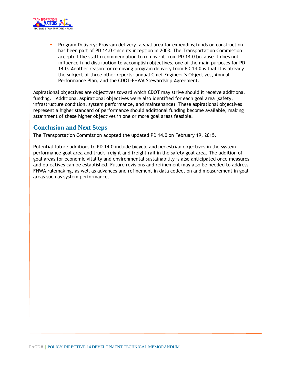

 Program Delivery: Program delivery, a goal area for expending funds on construction, has been part of PD 14.0 since its inception in 2003. The Transportation Commission accepted the staff recommendation to remove it from PD 14.0 because it does not influence fund distribution to accomplish objectives, one of the main purposes for PD 14.0. Another reason for removing program delivery from PD 14.0 is that it is already the subject of three other reports: annual Chief Engineer's Objectives, Annual Performance Plan, and the CDOT-FHWA Stewardship Agreement.

Aspirational objectives are objectives toward which CDOT may strive should it receive additional funding. Additional aspirational objectives were also identified for each goal area (safety, infrastructure condition, system performance, and maintenance). These aspirational objectives represent a higher standard of performance should additional funding become available, making attainment of these higher objectives in one or more goal areas feasible.

## **Conclusion and Next Steps**

The Transportation Commission adopted the updated PD 14.0 on February 19, 2015.

Potential future additions to PD 14.0 include bicycle and pedestrian objectives in the system performance goal area and truck freight and freight rail in the safety goal area. The addition of goal areas for economic vitality and environmental sustainability is also anticipated once measures and objectives can be established. Future revisions and refinement may also be needed to address FHWA rulemaking, as well as advances and refinement in data collection and measurement in goal areas such as system performance.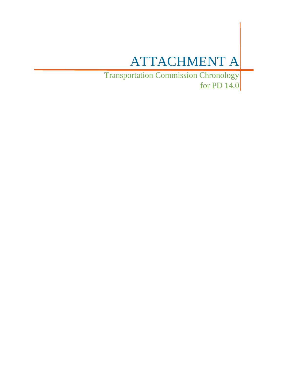# ATTACHMENT A

Transportation Commission Chronology for PD 14.0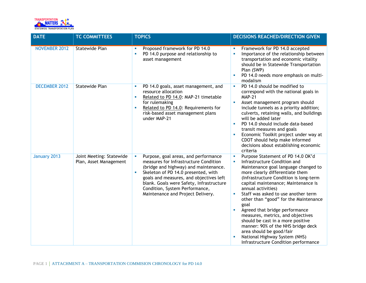

| <b>DATE</b>          | <b>TC COMMITTEES</b>                               | <b>TOPICS</b>                                                                                                                                                                                                                                                                                                                         | <b>DECISIONS REACHED/DIRECTION GIVEN</b>                                                                                                                                                                                                                                                                                                                                                                                                                                                                                                                                                                                   |
|----------------------|----------------------------------------------------|---------------------------------------------------------------------------------------------------------------------------------------------------------------------------------------------------------------------------------------------------------------------------------------------------------------------------------------|----------------------------------------------------------------------------------------------------------------------------------------------------------------------------------------------------------------------------------------------------------------------------------------------------------------------------------------------------------------------------------------------------------------------------------------------------------------------------------------------------------------------------------------------------------------------------------------------------------------------------|
| <b>NOVEMBER 2012</b> | <b>Statewide Plan</b>                              | Proposed framework for PD 14.0<br>a.<br>PD 14.0 purpose and relationship to<br>٠<br>asset management                                                                                                                                                                                                                                  | Framework for PD 14.0 accepted<br>Importance of the relationship between<br>٠<br>transportation and economic vitality<br>should be in Statewide Transportation<br>Plan (SWP)<br>PD 14.0 needs more emphasis on multi-<br>modalism                                                                                                                                                                                                                                                                                                                                                                                          |
| <b>DECEMBER 2012</b> | <b>Statewide Plan</b>                              | PD 14.0 goals, asset management, and<br>ш<br>resource allocation<br>Related to PD 14.0: MAP-21 timetable<br>$\blacksquare$<br>for rulemaking<br>Related to PD 14.0: Requirements for<br>I.<br>risk-based asset management plans<br>under MAP-21                                                                                       | PD 14.0 should be modified to<br>×<br>correspond with the national goals in<br><b>MAP-21</b><br>Asset management program should<br>$\mathcal{L}_{\mathcal{A}}$<br>include tunnels as a priority addition;<br>culverts, retaining walls, and buildings<br>will be added later<br>PD 14.0 should include data-based<br>$\blacksquare$<br>transit measures and goals<br>Economic Toolkit project under way at<br>CDOT should help make informed<br>decisions about establishing economic<br>criteria                                                                                                                          |
| January 2013         | Joint Meeting: Statewide<br>Plan, Asset Management | Purpose, goal areas, and performance<br>ш<br>measures for Infrastructure Condition<br>(bridge and highway) and maintenance.<br>Skeleton of PD 14.0 presented, with<br>×<br>goals and measures, and objectives left<br>blank. Goals were Safety, Infrastructure<br>Condition, System Performance,<br>Maintenance and Project Delivery. | Purpose Statement of PD 14.0 OK'd<br>$\blacksquare$<br>Infrastructure Condition and<br>à,<br>Maintenance goal language changed to<br>more clearly differentiate them<br>(Infrastructure Condition is long-term<br>capital maintenance; Maintenance is<br>annual activities)<br>Staff was asked to use another term<br>other than "good" for the Maintenance<br>goal<br>Agreed that bridge performance<br>measures, metrics, and objectives<br>should be cast in a more positive<br>manner: 90% of the NHS bridge deck<br>area should be good/fair<br>National Highway System (NHS)<br>Infrastructure Condition performance |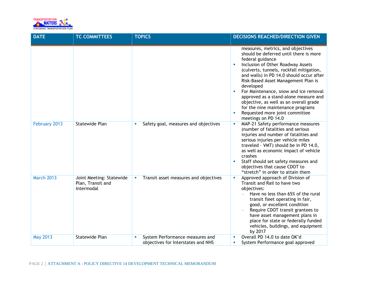

| <b>DATE</b>       | <b>TC COMMITTEES</b>                                        | <b>TOPICS</b>                                                               | <b>DECISIONS REACHED/DIRECTION GIVEN</b>                                                                                                                                                                                                                                                                                                                                                                                                                                                                               |
|-------------------|-------------------------------------------------------------|-----------------------------------------------------------------------------|------------------------------------------------------------------------------------------------------------------------------------------------------------------------------------------------------------------------------------------------------------------------------------------------------------------------------------------------------------------------------------------------------------------------------------------------------------------------------------------------------------------------|
|                   |                                                             |                                                                             |                                                                                                                                                                                                                                                                                                                                                                                                                                                                                                                        |
|                   |                                                             |                                                                             | measures, metrics, and objectives<br>should be deferred until there is more<br>federal guidance<br>Inclusion of Other Roadway Assets<br>a,<br>(culverts, tunnels, rockfall mitigation,<br>and walls) in PD 14.0 should occur after<br>Risk-Based Asset Management Plan is<br>developed<br>For Maintenance, snow and ice removal<br>approved as a stand-alone measure and<br>objective, as well as an overall grade<br>for the nine maintenance programs<br>Requested more joint committee<br>u.<br>meetings on PD 14.0 |
| February 2013     | <b>Statewide Plan</b>                                       | Safety goal, measures and objectives<br>ш                                   | MAP-21 Safety performance measures<br>ш<br>(number of fatalities and serious<br>injuries and number of fatalities and<br>serious injuries per vehicle miles<br>traveled - VMT) should be in PD 14.0,<br>as well as economic impact of vehicle<br>crashes<br>Staff should set safety measures and<br>u.<br>objectives that cause CDOT to<br>"stretch" in order to attain them                                                                                                                                           |
| <b>March 2013</b> | Joint Meeting: Statewide<br>Plan, Transit and<br>Intermodal | Transit asset measures and objectives<br>×                                  | Approved approach of Division of<br>Transit and Rail to have two<br>objectives:<br>Have no less than 65% of the rural<br>transit fleet operating in fair,<br>good, or excellent condition<br>Require CDOT transit grantees to<br>have asset management plans in<br>place for state or federally funded<br>vehicles, buildings, and equipment<br>by 2017                                                                                                                                                                |
| <b>May 2013</b>   | <b>Statewide Plan</b>                                       | System Performance measures and<br>u.<br>objectives for Interstates and NHS | Overall PD 14.0 to date OK'd<br>×<br>System Performance goal approved<br>×                                                                                                                                                                                                                                                                                                                                                                                                                                             |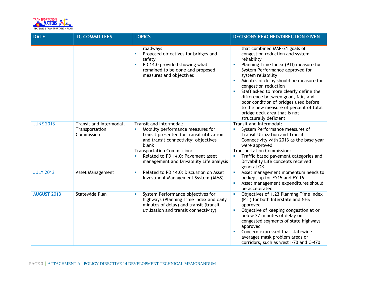

| <b>DATE</b>        | <b>TC COMMITTEES</b>                                    | <b>TOPICS</b>                                                                                                                                                                                                                                                                                            | <b>DECISIONS REACHED/DIRECTION GIVEN</b>                                                                                                                                                                                                                                                                                                                                                                                                                                         |
|--------------------|---------------------------------------------------------|----------------------------------------------------------------------------------------------------------------------------------------------------------------------------------------------------------------------------------------------------------------------------------------------------------|----------------------------------------------------------------------------------------------------------------------------------------------------------------------------------------------------------------------------------------------------------------------------------------------------------------------------------------------------------------------------------------------------------------------------------------------------------------------------------|
|                    |                                                         | roadways<br>Proposed objectives for bridges and<br>$\blacksquare$<br>safety<br>PD 14.0 provided showing what<br>ш<br>remained to be done and proposed<br>measures and objectives                                                                                                                         | that combined MAP-21 goals of<br>congestion reduction and system<br>reliability<br>Planning Time Index (PTI) measure for<br>System Performance approved for<br>system reliability<br>Minutes of delay should be measure for<br>congestion reduction<br>Staff asked to more clearly define the<br>difference between good, fair, and<br>poor condition of bridges used before<br>to the new measure of percent of total<br>bridge deck area that is not<br>structurally deficient |
| <b>JUNE 2013</b>   | Transit and Intermodal,<br>Transportation<br>Commission | Transit and Intermodal:<br>Mobility performance measures for<br>ш<br>transit presented for transit utilization<br>and transit connectivity; objectives<br>blank<br><b>Transportation Commission:</b><br>Related to PD 14.0: Pavement asset<br>$\blacksquare$<br>management and Drivability Life analysis | Transit and Intermodal:<br>System Performance measures of<br><b>Transit Utilization and Transit</b><br>Connectivity with 2013 as the base year<br>were approved<br><b>Transportation Commission:</b><br>Traffic based pavement categories and<br>L.<br>Drivability Life concepts received<br>general OK                                                                                                                                                                          |
| <b>JULY 2013</b>   | Asset Management                                        | Related to PD 14.0: Discussion on Asset<br>ш<br>Investment Management System (AIMS)                                                                                                                                                                                                                      | Asset management momentum needs to<br>$\mathcal{L}_{\mathcal{A}}$<br>be kept up for FY15 and FY 16<br>Asset management expenditures should<br>be accelerated                                                                                                                                                                                                                                                                                                                     |
| <b>AUGUST 2013</b> | <b>Statewide Plan</b>                                   | System Performance objectives for<br>a.<br>highways (Planning Time Index and daily<br>minutes of delay) and transit (transit<br>utilization and transit connectivity)                                                                                                                                    | Objectives of 1.23 Planning Time Index<br>(PTI) for both Interstate and NHS<br>approved<br>Objective of keeping congestion at or<br>below 22 minutes of delay on<br>congested segments of state highways<br>approved<br>Concern expressed that statewide<br>×<br>averages mask problem areas or<br>corridors, such as west I-70 and C-470.                                                                                                                                       |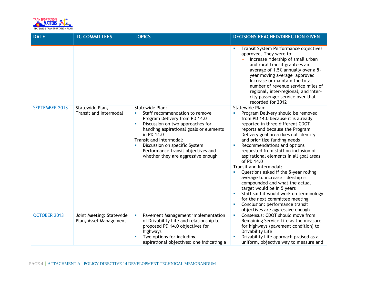

| <b>DATE</b>           | <b>TC COMMITTEES</b>                               | <b>TOPICS</b>                                                                                                                                                                                                                                                                                                                                    | <b>DECISIONS REACHED/DIRECTION GIVEN</b>                                                                                                                                                                                                                                                                                                                                                                                                                                                                                                                                                                                                                                                                                  |
|-----------------------|----------------------------------------------------|--------------------------------------------------------------------------------------------------------------------------------------------------------------------------------------------------------------------------------------------------------------------------------------------------------------------------------------------------|---------------------------------------------------------------------------------------------------------------------------------------------------------------------------------------------------------------------------------------------------------------------------------------------------------------------------------------------------------------------------------------------------------------------------------------------------------------------------------------------------------------------------------------------------------------------------------------------------------------------------------------------------------------------------------------------------------------------------|
|                       |                                                    |                                                                                                                                                                                                                                                                                                                                                  | Transit System Performance objectives<br>×<br>approved. They were to:<br>Increase ridership of small urban<br>and rural transit grantees an<br>average of 1.5% annually over a 5-<br>year moving average approved<br>Increase or maintain the total<br>number of revenue service miles of<br>regional, inter-regional, and inter-<br>city passenger service over that<br>recorded for 2012                                                                                                                                                                                                                                                                                                                                |
| <b>SEPTEMBER 2013</b> | Statewide Plan,<br><b>Transit and Intermodal</b>   | <b>Statewide Plan:</b><br>Staff recommendation to remove<br>u,<br>Program Delivery from PD 14.0<br>Discussion on two approaches for<br>u,<br>handling aspirational goals or elements<br>in PD 14.0<br>Transit and Intermodal:<br>Discussion on specific System<br>u,<br>Performance transit objectives and<br>whether they are aggressive enough | <b>Statewide Plan:</b><br>Program Delivery should be removed<br>from PD 14.0 because it is already<br>reported in three different CDOT<br>reports and because the Program<br>Delivery goal area does not identify<br>and prioritize funding needs<br>Recommendations and options<br>requested from staff on inclusion of<br>aspirational elements in all goal areas<br>of PD 14.0<br>Transit and Intermodal:<br>Questions asked if the 5-year rolling<br>average to increase ridership is<br>compounded and what the actual<br>target would be in 5 years<br>Staff said it would work on terminology<br>for the next committee meeting<br>Conclusion: performance transit<br><b>I</b><br>objectives are aggressive enough |
| <b>OCTOBER 2013</b>   | Joint Meeting: Statewide<br>Plan, Asset Management | Pavement Management implementation<br>×<br>of Drivability Life and relationship to<br>proposed PD 14.0 objectives for<br>highways<br>Two options for including<br>aspirational objectives: one indicating a                                                                                                                                      | Consensus: CDOT should move from<br>$\overline{\phantom{a}}$<br>Remaining Service Life as the measure<br>for highways (pavement condition) to<br>Drivability Life<br>Drivability Life approach praised as a<br>uniform, objective way to measure and                                                                                                                                                                                                                                                                                                                                                                                                                                                                      |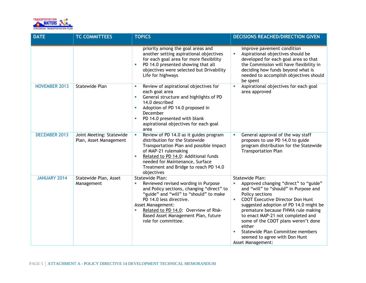

| <b>DATE</b>          | <b>TC COMMITTEES</b>                               | <b>TOPICS</b>                                                                                                                                                                                                                                                                                                                        | <b>DECISIONS REACHED/DIRECTION GIVEN</b>                                                                                                                                                                                                                                                                                                                                                                                                            |
|----------------------|----------------------------------------------------|--------------------------------------------------------------------------------------------------------------------------------------------------------------------------------------------------------------------------------------------------------------------------------------------------------------------------------------|-----------------------------------------------------------------------------------------------------------------------------------------------------------------------------------------------------------------------------------------------------------------------------------------------------------------------------------------------------------------------------------------------------------------------------------------------------|
|                      |                                                    | priority among the goal areas and<br>another setting aspirational objectives<br>for each goal area for more flexibility<br>PD 14.0 presented showing that all<br>objectives were selected but Drivability<br>Life for highways                                                                                                       | improve pavement condition<br>Aspirational objectives should be<br>a,<br>developed for each goal area so that<br>the Commission will have flexibility in<br>deciding how funds beyond what is<br>needed to accomplish objectives should<br>be spent                                                                                                                                                                                                 |
| <b>NOVEMBER 2013</b> | <b>Statewide Plan</b>                              | Review of aspirational objectives for<br>a.<br>each goal area<br>General structure and highlights of PD<br>ш<br>14.0 described<br>Adoption of PD 14.0 proposed in<br>ш<br>December<br>PD 14.0 presented with blank<br>ш<br>aspirational objectives for each goal<br>area                                                             | Aspirational objectives for each goal<br>Ľ.<br>area approved                                                                                                                                                                                                                                                                                                                                                                                        |
| <b>DECEMBER 2013</b> | Joint Meeting: Statewide<br>Plan, Asset Management | Review of PD 14.0 as it guides program<br>$\blacksquare$<br>distribution for the Statewide<br>Transportation Plan and possible impact<br>of MAP-21 rulemaking<br>Related to PD 14.0: Additional funds<br>ш<br>needed for Maintenance, Surface<br>Treatment and Bridge to reach PD 14.0<br>objectives                                 | General approval of the way staff<br>proposes to use PD 14.0 to guide<br>program distribution for the Statewide<br><b>Transportation Plan</b>                                                                                                                                                                                                                                                                                                       |
| <b>JANUARY 2014</b>  | Statewide Plan, Asset<br>Management                | <b>Statewide Plan:</b><br>Reviewed revised wording in Purpose<br>$\blacksquare$<br>and Policy sections, changing "direct" to<br>"guide" and "will" to "should" to make<br>PD 14.0 less directive.<br><b>Asset Management:</b><br>Related to PD 14.0: Overview of Risk-<br>Based Asset Management Plan, future<br>role for committee. | <b>Statewide Plan:</b><br>Approved changing "direct" to "guide"<br>and "will" to "should" in Purpose and<br>Policy sections<br><b>CDOT Executive Director Don Hunt</b><br>a,<br>suggested adoption of PD 14.0 might be<br>premature because FHWA rule making<br>to enact MAP-21 not completed and<br>some of the CDOT plans weren't done<br>either<br>Statewide Plan Committee members<br>seemed to agree with Don Hunt<br><b>Asset Management:</b> |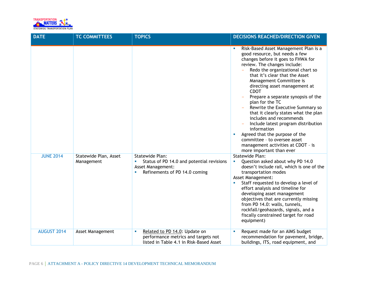

| <b>DATE</b>        | <b>TC COMMITTEES</b>                | <b>TOPICS</b>                                                                                                             | <b>DECISIONS REACHED/DIRECTION GIVEN</b>                                                                                                                                                                                                                                                                                                                                                                                                                                                                                                                                                                                                                                                                               |
|--------------------|-------------------------------------|---------------------------------------------------------------------------------------------------------------------------|------------------------------------------------------------------------------------------------------------------------------------------------------------------------------------------------------------------------------------------------------------------------------------------------------------------------------------------------------------------------------------------------------------------------------------------------------------------------------------------------------------------------------------------------------------------------------------------------------------------------------------------------------------------------------------------------------------------------|
|                    |                                     |                                                                                                                           | Risk-Based Asset Management Plan is a<br>$\mathcal{L}_{\mathcal{A}}$<br>good resource, but needs a few<br>changes before it goes to FHWA for<br>review. The changes include:<br>Redo the organizational chart so<br>that it's clear that the Asset<br>Management Committee is<br>directing asset management at<br><b>CDOT</b><br>Prepare a separate synopsis of the<br>plan for the TC<br>Rewrite the Executive Summary so<br>that it clearly states what the plan<br>includes and recommends<br>Include latest program distribution<br>information<br>Agreed that the purpose of the<br>$\mathcal{L}_{\mathcal{A}}$<br>committee - to oversee asset<br>management activities at CDOT - is<br>more important than ever |
| <b>JUNE 2014</b>   | Statewide Plan, Asset<br>Management | <b>Statewide Plan:</b><br>Status of PD 14.0 and potential revisions<br>Asset Management:<br>Refinements of PD 14.0 coming | <b>Statewide Plan:</b><br>Question asked about why PD 14.0<br>$\overline{\phantom{a}}$<br>doesn't include rail, which is one of the<br>transportation modes<br>Asset Management:<br>Staff requested to develop a level of<br>effort analysis and timeline for<br>developing asset management<br>objectives that are currently missing<br>from PD 14.0: walls, tunnels,<br>rockfall/geohazards, signals, and a<br>fiscally constrained target for road<br>equipment)                                                                                                                                                                                                                                                    |
| <b>AUGUST 2014</b> | Asset Management                    | Related to PD 14.0: Update on<br>×<br>performance metrics and targets not<br>listed in Table 4.1 in Risk-Based Asset      | Request made for an AIMS budget<br>recommendation for pavement, bridge,<br>buildings, ITS, road equipment, and                                                                                                                                                                                                                                                                                                                                                                                                                                                                                                                                                                                                         |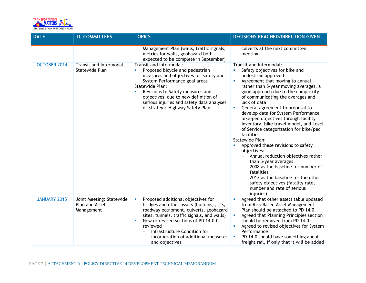

| <b>DATE</b>         | <b>TC COMMITTEES</b>                                     | <b>TOPICS</b>                                                                                                                                                                                                                                                                                                                    | <b>DECISIONS REACHED/DIRECTION GIVEN</b>                                                                                                                                                                                                                                                                                                                                                                                                                                                                                                                                                                                                                                                                                                                                                             |
|---------------------|----------------------------------------------------------|----------------------------------------------------------------------------------------------------------------------------------------------------------------------------------------------------------------------------------------------------------------------------------------------------------------------------------|------------------------------------------------------------------------------------------------------------------------------------------------------------------------------------------------------------------------------------------------------------------------------------------------------------------------------------------------------------------------------------------------------------------------------------------------------------------------------------------------------------------------------------------------------------------------------------------------------------------------------------------------------------------------------------------------------------------------------------------------------------------------------------------------------|
|                     |                                                          | Management Plan (walls, traffic signals;<br>metrics for walls, geohazard both<br>expected to be complete in September)                                                                                                                                                                                                           | culverts at the next committee<br>meeting                                                                                                                                                                                                                                                                                                                                                                                                                                                                                                                                                                                                                                                                                                                                                            |
| OCTOBER 2014        | Transit and Intermodal,<br>Statewide Plan                | Transit and Intermodal:<br>Proposed bicycle and pedestrian<br>measures and objectives for Safety and<br>System Performance goal areas<br><b>Statewide Plan:</b><br>Revisions to Safety measures and<br>п<br>objectives due to new definition of<br>serious injuries and safety data analyses<br>of Strategic Highway Safety Plan | Transit and Intermodal:<br>Safety objectives for bike and<br>pedestrian approved<br>Agreement that moving to annual,<br>rather than 5-year moving averages, a<br>good approach due to the complexity<br>of communicating the averages and<br>lack of data<br>General agreement to proposal to<br>×<br>develop data for System Performance<br>bike-ped objectives through facility<br>inventory, bike travel model, and Level<br>of Service categorization for bike/ped<br>facilities<br>Statewide Plan:<br>Approved these revisions to safety<br>objectives:<br>Annual reduction objectives rather<br>than 5-year averages<br>2008 as the baseline for number of<br>fatalities<br>2013 as the baseline for the other<br>safety objectives (fatality rate,<br>number and rate of serious<br>injuries) |
| <b>JANUARY 2015</b> | Joint Meeting: Statewide<br>Plan and Asset<br>Management | Proposed additional objectives for<br>×<br>bridges and other assets (buildings, ITS,<br>roadway equipment, culverts, geohazard<br>sites, tunnels, traffic signals, and walls)<br>New or revised sections of PD 14.0.0<br>ш<br>reviewed<br>Infrastructure Condition for<br>incorporation of additional measures<br>and objectives | Agreed that other assets table updated<br>$\mathcal{L}_{\mathcal{A}}$<br>from Risk-Based Asset Management<br>Plan should be attached to PD 14.0<br>Agreed that Planning Principles section<br>should be removed from PD 14.0<br>Agreed to revised objectives for System<br>Performance<br>PD 14.0 should have something about<br>freight rail, if only that it will be added                                                                                                                                                                                                                                                                                                                                                                                                                         |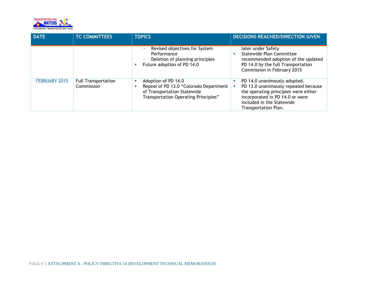

| <b>DATE</b>   | <b>TC COMMITTEES</b>                     | <b>TOPICS</b>                                                                                                                                         | <b>DECISIONS REACHED/DIRECTION GIVEN</b>                                                                                                                                                                  |
|---------------|------------------------------------------|-------------------------------------------------------------------------------------------------------------------------------------------------------|-----------------------------------------------------------------------------------------------------------------------------------------------------------------------------------------------------------|
|               |                                          | Revised objectives for System<br>Performance<br>Deletion of planning principles<br>$\overline{\phantom{a}}$<br>Future adoption of PD 14.0<br><b>I</b> | later under Safety<br>Statewide Plan Committee<br>recommended adoption of the updated<br>PD 14.0 by the full Transportation<br>Commission in February 2015                                                |
| FEBRUARY 2015 | <b>Full Transportation</b><br>Commission | Adoption of PD 14.0<br><b>I</b><br>Repeal of PD 13.0 "Colorado Department<br>of Transportation Statewide<br>Transportation Operating Principles"      | PD 14.0 unanimously adopted.<br>п<br>PD 13.0 unanimously repealed because<br>the operating principles were either<br>incorporated in PD 14.0 or were<br>included in the Statewide<br>Transportation Plan. |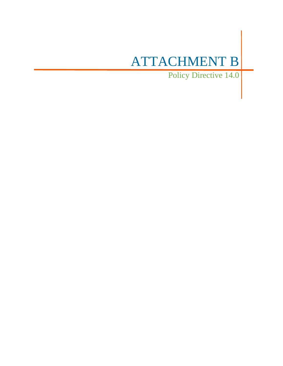# ATTACHMENT B

Policy Directive 14.0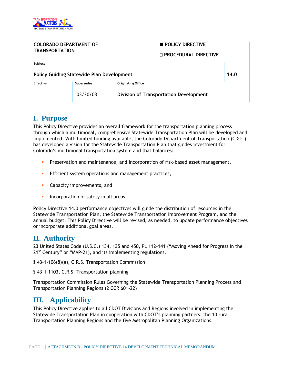

| <b>COLORADO DEPARTMENT OF</b><br><b>TRANSPORTATION</b>                  |  | <b>POLICY DIRECTIVE</b><br>$\sqcap$ PROCEDURAL DIRECTIVE |  |      |
|-------------------------------------------------------------------------|--|----------------------------------------------------------|--|------|
| Subject<br><b>Policy Guiding Statewide Plan Development</b>             |  |                                                          |  | 14.0 |
| <b>Originating Office</b><br>Effective<br><b>Supersedes</b><br>03/20/08 |  | <b>Division of Transportation Development</b>            |  |      |

## **I. Purpose**

This Policy Directive provides an overall framework for the transportation planning process through which a multimodal, comprehensive Statewide Transportation Plan will be developed and implemented. With limited funding available, the Colorado Department of Transportation (CDOT) has developed a vision for the Statewide Transportation Plan that guides investment for Colorado's multimodal transportation system and that balances:

- **Preservation and maintenance, and incorporation of risk-based asset management,**
- **Efficient system operations and management practices,**
- **Capacity improvements, and**
- **Incorporation of safety in all areas**

Policy Directive 14.0 performance objectives will guide the distribution of resources in the Statewide Transportation Plan, the Statewide Transportation Improvement Program, and the annual budget. This Policy Directive will be revised, as needed, to update performance objectives or incorporate additional goal areas.

# **II. Authority**

23 United States Code (U.S.C.) 134, 135 and 450, PL 112-141 ("Moving Ahead for Progress in the 21<sup>st</sup> Century" or "MAP-21), and its implementing regulations.

§ 43-1-106(8)(a), C.R.S. Transportation Commission

§ 43-1-1103, C.R.S. Transportation planning

Transportation Commission Rules Governing the Statewide Transportation Planning Process and Transportation Planning Regions (2 CCR 601-22)

# **III. Applicability**

This Policy Directive applies to all CDOT Divisions and Regions involved in implementing the Statewide Transportation Plan in cooperation with CDOT's planning partners: the 10 rural Transportation Planning Regions and the five Metropolitan Planning Organizations.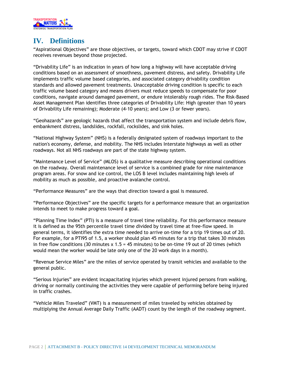

# **IV. Definitions**

"Aspirational Objectives" are those objectives, or targets, toward which CDOT may strive if CDOT receives revenues beyond those projected.

"Drivability Life" is an indication in years of how long a highway will have acceptable driving conditions based on an assessment of smoothness, pavement distress, and safety. Drivability Life implements traffic volume based categories, and associated category drivability condition standards and allowed pavement treatments. Unacceptable driving condition is specific to each traffic volume based category and means drivers must reduce speeds to compensate for poor conditions, navigate around damaged pavement, or endure intolerably rough rides. The Risk-Based Asset Management Plan identifies three categories of Drivability Life: High (greater than 10 years of Drivability Life remaining); Moderate (4-10 years); and Low (3 or fewer years).

"Geohazards" are geologic hazards that affect the transportation system and include debris flow, embankment distress, landslides, rockfall, rockslides, and sink holes.

"National Highway System" (NHS) is a federally designated system of roadways important to the nation's economy, defense, and mobility. The NHS includes Interstate highways as well as other roadways. Not all NHS roadways are part of the state highway system.

"Maintenance Level of Service" (MLOS) is a qualitative measure describing operational conditions on the roadway. Overall maintenance level of service is a combined grade for nine maintenance program areas. For snow and ice control, the LOS B level includes maintaining high levels of mobility as much as possible, and proactive avalanche control.

"Performance Measures" are the ways that direction toward a goal is measured.

"Performance Objectives" are the specific targets for a performance measure that an organization intends to meet to make progress toward a goal.

"Planning Time Index" (PTI) is a measure of travel time reliability. For this performance measure it is defined as the 95th percentile travel time divided by travel time at free-flow speed. In general terms, it identifies the extra time needed to arrive on-time for a trip 19 times out of 20. For example, for a PTI95 of 1.5, a worker should plan 45 minutes for a trip that takes 30 minutes in free flow conditions (30 minutes  $x 1.5 = 45$  minutes) to be on-time 19 out of 20 times (which would mean the worker would be late only one of the 20 work days in a month).

"Revenue Service Miles" are the miles of service operated by transit vehicles and available to the general public.

"Serious Injuries" are evident incapacitating injuries which prevent injured persons from walking, driving or normally continuing the activities they were capable of performing before being injured in traffic crashes.

"Vehicle Miles Traveled" (VMT) is a measurement of miles traveled by vehicles obtained by multiplying the Annual Average Daily Traffic (AADT) count by the length of the roadway segment.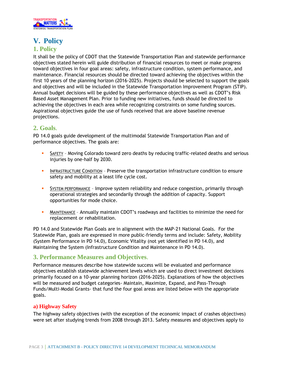

# **V. Policy 1. Policy**

It shall be the policy of CDOT that the Statewide Transportation Plan and statewide performance objectives stated herein will guide distribution of financial resources to meet or make progress toward objectives in four goal areas: safety, infrastructure condition, system performance, and maintenance. Financial resources should be directed toward achieving the objectives within the first 10 years of the planning horizon (2016-2025). Projects should be selected to support the goals and objectives and will be included in the Statewide Transportation Improvement Program (STIP). Annual budget decisions will be guided by these performance objectives as well as CDOT's Risk Based Asset Management Plan. Prior to funding new initiatives, funds should be directed to achieving the objectives in each area while recognizing constraints on some funding sources. Aspirational objectives guide the use of funds received that are above baseline revenue projections.

### **2. Goals.**

PD 14.0 goals guide development of the multimodal Statewide Transportation Plan and of performance objectives. The goals are:

- SAFETY Moving Colorado toward zero deaths by reducing traffic-related deaths and serious injuries by one-half by 2030.
- **INFRASTRUCTURE CONDITION Preserve the transportation infrastructure condition to ensure** safety and mobility at a least life cycle cost.
- SYSTEM PERFORMANCE Improve system reliability and reduce congestion, primarily through operational strategies and secondarily through the addition of capacity. Support opportunities for mode choice.
- MAINTENANCE Annually maintain CDOT's roadways and facilities to minimize the need for replacement or rehabilitation.

PD 14.0 and Statewide Plan Goals are in alignment with the MAP-21 National Goals. For the Statewide Plan, goals are expressed in more public-friendly terms and include: Safety, Mobility (System Performance in PD 14.0), Economic Vitality (not yet identified in PD 14.0), and Maintaining the System (Infrastructure Condition and Maintenance in PD 14.0).

## **3. Performance Measures and Objectives.**

Performance measures describe how statewide success will be evaluated and performance objectives establish statewide achievement levels which are used to direct investment decisions primarily focused on a 10-year planning horizon (2016-2025). Explanations of how the objectives will be measured and budget categories- Maintain, Maximize, Expand, and Pass-Through Funds/Multi-Modal Grants- that fund the four goal areas are listed below with the appropriate goals.

#### **a) Highway Safety**

The highway safety objectives (with the exception of the economic impact of crashes objectives) were set after studying trends from 2008 through 2013. Safety measures and objectives apply to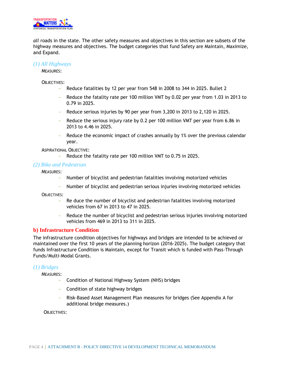

*all* roads in the state. The other safety measures and objectives in this section are subsets of the highway measures and objectives. The budget categories that fund Safety are Maintain, Maximize, and Expand.

#### *(1) All Highways*

MEASURES:

OBJECTIVES:

- Reduce fatalities by 12 per year from 548 in 2008 to 344 in 2025. Bullet 2
- Reduce the fatality rate per 100 million VMT by 0.02 per year from 1.03 in 2013 to 0.79 in 2025.
- Reduce serious injuries by 90 per year from 3,200 in 2013 to 2,120 in 2025.
- Reduce the serious injury rate by 0.2 per 100 million VMT per year from 6.86 in 2013 to 4.46 in 2025.
- Reduce the economic impact of crashes annually by 1% over the previous calendar year.

ASPIRATIONAL OBJECTIVE:

Reduce the fatality rate per 100 million VMT to 0.75 in 2025.

#### *(2) Bike and Pedestrian*

MEASURES:

- Number of bicyclist and pedestrian fatalities involving motorized vehicles
- Number of bicyclist and pedestrian serious injuries involving motorized vehicles

OB **IFCTIVES**:

- Re duce the number of bicyclist and pedestrian fatalities involving motorized vehicles from 67 in 2013 to 47 in 2025.
- Reduce the number of bicyclist and pedestrian serious injuries involving motorized vehicles from 469 in 2013 to 311 in 2025.

#### **b) Infrastructure Condition**

The infrastructure condition objectives for highways and bridges are intended to be achieved or maintained over the first 10 years of the planning horizon (2016-2025). The budget category that funds Infrastructure Condition is Maintain, except for Transit which is funded with Pass-Through Funds/Multi-Modal Grants.

#### *(1) Bridges*

MEASURES:

- Condition of National Highway System (NHS) bridges
- Condition of state highway bridges
- Risk-Based Asset Management Plan measures for bridges (See Appendix A for additional bridge measures.)

OBJECTIVES: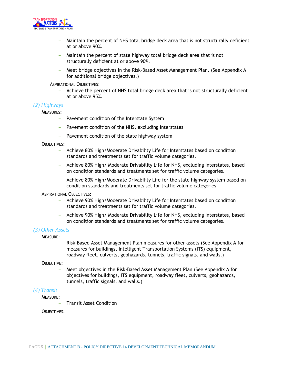

- Maintain the percent of NHS total bridge deck area that is not structurally deficient at or above 90%.
- Maintain the percent of state highway total bridge deck area that is not structurally deficient at or above 90%.
- Meet bridge objectives in the Risk-Based Asset Management Plan. (See Appendix A for additional bridge objectives.)

ASPIRATIONAL OBJECTIVES:

- Achieve the percent of NHS total bridge deck area that is not structurally deficient at or above 95%.

#### *(2) Highways*

MEASURES:

- Pavement condition of the Interstate System
- Pavement condition of the NHS, excluding Interstates
- Pavement condition of the state highway system

#### OBJECTIVES:

- Achieve 80% High/Moderate Drivability Life for Interstates based on condition standards and treatments set for traffic volume categories.
- Achieve 80% High/ Moderate Drivability Life for NHS, excluding Interstates, based on condition standards and treatments set for traffic volume categories.
- Achieve 80% High/Moderate Drivability Life for the state highway system based on condition standards and treatments set for traffic volume categories.

#### ASPIRATIONAL OBJECTIVES:

- Achieve 90% High/Moderate Drivability Life for Interstates based on condition standards and treatments set for traffic volume categories.
- Achieve 90% High/ Moderate Drivability Life for NHS, excluding Interstates, based on condition standards and treatments set for traffic volume categories.

#### *(3) Other Assets*

MEASURE:

- Risk-Based Asset Management Plan measures for other assets (See Appendix A for measures for buildings, Intelligent Transportation Systems (ITS) equipment, roadway fleet, culverts, geohazards, tunnels, traffic signals, and walls.)

#### OBJECTIVE:

- Meet objectives in the Risk-Based Asset Management Plan (See Appendix A for objectives for buildings, ITS equipment, roadway fleet, culverts, geohazards, tunnels, traffic signals, and walls.)

#### *(4) Transit*

#### MEASURE:

- Transit Asset Condition

#### OBJECTIVES: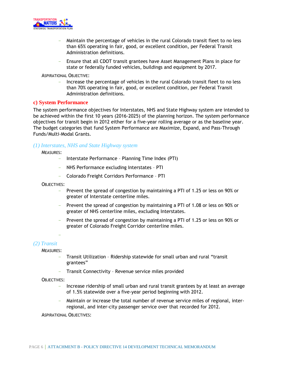

- Maintain the percentage of vehicles in the rural Colorado transit fleet to no less than 65% operating in fair, good, or excellent condition, per Federal Transit Administration definitions.
- Ensure that all CDOT transit grantees have Asset Management Plans in place for state or federally funded vehicles, buildings and equipment by 2017.

ASPIRATIONAL OBJECTIVE:

- Increase the percentage of vehicles in the rural Colorado transit fleet to no less than 70% operating in fair, good, or excellent condition, per Federal Transit Administration definitions.

#### **c) System Performance**

The system performance objectives for Interstates, NHS and State Highway system are intended to be achieved within the first 10 years (2016-2025) of the planning horizon. The system performance objectives for transit begin in 2012 either for a five-year rolling average or as the baseline year. The budget categories that fund System Performance are Maximize, Expand, and Pass-Through Funds/Multi-Modal Grants.

#### *(1) Interstates, NHS and State Highway system*

MEASURES:

- Interstate Performance Planning Time Index (PTI)
- NHS Performance excluding Interstates PTI
- Colorado Freight Corridors Performance PTI

OBJECTIVES:

- Prevent the spread of congestion by maintaining a PTI of 1.25 or less on 90% or greater of Interstate centerline miles.
- Prevent the spread of congestion by maintaining a PTI of 1.08 or less on 90% or greater of NHS centerline miles, excluding Interstates.
- Prevent the spread of congestion by maintaining a PTI of 1.25 or less on 90% or greater of Colorado Freight Corridor centerline miles.

-

#### *(2) Transit*

MEASURES:

- Transit Utilization Ridership statewide for small urban and rural "transit grantees"
- Transit Connectivity Revenue service miles provided

OBJECTIVES:

- Increase ridership of small urban and rural transit grantees by at least an average of 1.5% statewide over a five-year period beginning with 2012.
- Maintain or increase the total number of revenue service miles of regional, interregional, and inter-city passenger service over that recorded for 2012.

ASPIRATIONAL OBJECTIVES: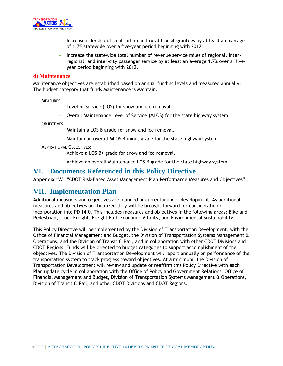

- Increase ridership of small urban and rural transit grantees by at least an average of 1.7% statewide over a five-year period beginning with 2012.
- Increase the statewide total number of revenue service miles of regional, interregional, and inter-city passenger service by at least an average 1.7% over a fiveyear period beginning with 2012.

#### **d) Maintenance**

Maintenance objectives are established based on annual funding levels and measured annually. The budget category that funds Maintenance is Maintain.

MEASURES:

- Level of Service (LOS) for snow and ice removal
- Overall Maintenance Level of Service (MLOS) for the state highway system

OBJECTIVES:

- Maintain a LOS B grade for snow and ice removal.
- Maintain an overall MLOS B minus grade for the state highway system.

ASPIRATIONAL OBJECTIVES:

- Achieve a LOS B+ grade for snow and ice removal.
- Achieve an overall Maintenance LOS B grade for the state highway system.

## **VI. Documents Referenced in this Policy Directive**

**Appendix "A" "**CDOT Risk-Based Asset Management Plan Performance Measures and Objectives"

## **VII. Implementation Plan**

Additional measures and objectives are planned or currently under development. As additional measures and objectives are finalized they will be brought forward for consideration of incorporation into PD 14.0. This includes measures and objectives in the following areas: Bike and Pedestrian, Truck Freight, Freight Rail, Economic Vitality, and Environmental Sustainability.

This Policy Directive will be implemented by the Division of Transportation Development, with the Office of Financial Management and Budget, the Division of Transportation Systems Management & Operations, and the Division of Transit & Rail, and in collaboration with other CDOT Divisions and CDOT Regions. Funds will be directed to budget categories to support accomplishment of the objectives. The Division of Transportation Development will report annually on performance of the transportation system to track progress toward objectives. At a minimum, the Division of Transportation Development will review and update or reaffirm this Policy Directive with each Plan update cycle in collaboration with the Office of Policy and Government Relations, Office of Financial Management and Budget, Division of Transportation Systems Management & Operations, Division of Transit & Rail, and other CDOT Divisions and CDOT Regions.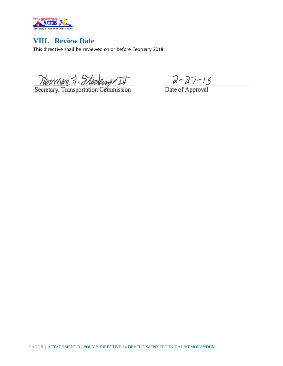

# **VIII. Review Date**

This directive shall be reviewed on or before February 2018.

Norman J. Stocking III

 $2 - 27 - 15$ <br>Date of Approval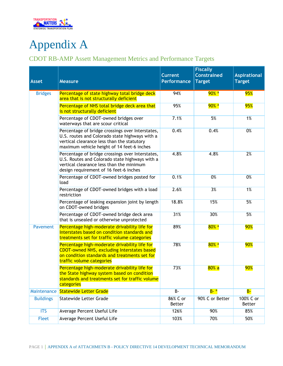

# Appendix A

# CDOT RB-AMP Assett Management Metrics and Performance Targets

| <b>Asset</b>     | <b>Measure</b>                                                                                                                                                                                 | <b>Current</b><br><b>Performance</b> | <b>Fiscally</b><br><b>Constrained</b><br><b>Target</b> | <b>Aspirational</b><br><b>Target</b> |
|------------------|------------------------------------------------------------------------------------------------------------------------------------------------------------------------------------------------|--------------------------------------|--------------------------------------------------------|--------------------------------------|
| <b>Bridges</b>   | Percentage of state highway total bridge deck<br>area that is not structurally deficient                                                                                                       | 94%                                  | <mark>90% a</mark>                                     | 95%                                  |
|                  | Percentage of NHS total bridge deck area that<br>is not structurally deficient                                                                                                                 | 95%                                  | <mark>90% a</mark>                                     | <b>95%</b>                           |
|                  | Percentage of CDOT-owned bridges over<br>waterways that are scour critical                                                                                                                     | 7.1%                                 | 5%                                                     | 1%                                   |
|                  | Percentage of bridge crossings over Interstates,<br>U.S. routes and Colorado state highways with a<br>vertical clearance less than the statutory<br>maximum vehicle height of 14 feet-6 inches | 0.4%                                 | 0.4%                                                   | 0%                                   |
|                  | Percentage of bridge crossings over Interstates,<br>U.S. Routes and Colorado state highways with a<br>vertical clearance less than the minimum<br>design requirement of 16 feet-6 inches       | 4.8%                                 | 4.8%                                                   | 2%                                   |
|                  | Percentage of CDOT-owned bridges posted for<br>load                                                                                                                                            | 0.1%                                 | 0%                                                     | 0%                                   |
|                  | Percentage of CDOT-owned bridges with a load<br>restriction                                                                                                                                    | 2.6%                                 | 3%                                                     | 1%                                   |
|                  | Percentage of leaking expansion joint by length<br>on CDOT-owned bridges                                                                                                                       | 18.8%                                | 15%                                                    | 5%                                   |
|                  | Percentage of CDOT-owned bridge deck area<br>that is unsealed or otherwise unprotected                                                                                                         | 31%                                  | 30%                                                    | 5%                                   |
| Pavement         | Percentage high-moderate drivability life for<br>Interstates based on condition standards and<br>treatments set for traffic volume categories                                                  | 89%                                  | $80\%$ a                                               | 90%                                  |
|                  | Percentage high-moderate drivability life for<br><b>CDOT-owned NHS, excluding Interstates based</b><br>on condition standards and treatments set for<br>traffic volume categories              | 78%                                  | $80\%$ a                                               | 90%                                  |
|                  | Percentage high-moderate drivability life for<br>the State highway system based on condition<br>standards and treatments set for traffic volume<br>categories                                  | 73%                                  | $80%$ a                                                | <b>90%</b>                           |
| Maintenance      | <b>Statewide Letter Grade</b>                                                                                                                                                                  | $B -$                                | $B - a$                                                | $B-$                                 |
| <b>Buildings</b> | <b>Statewide Letter Grade</b>                                                                                                                                                                  | 86% C or<br>Better                   | 90% C or Better                                        | 100% C or<br>Better                  |
| <b>ITS</b>       | Average Percent Useful Life                                                                                                                                                                    | 126%                                 | 90%                                                    | 85%                                  |
| Fleet            | Average Percent Useful Life                                                                                                                                                                    | 103%                                 | 70%                                                    | 50%                                  |